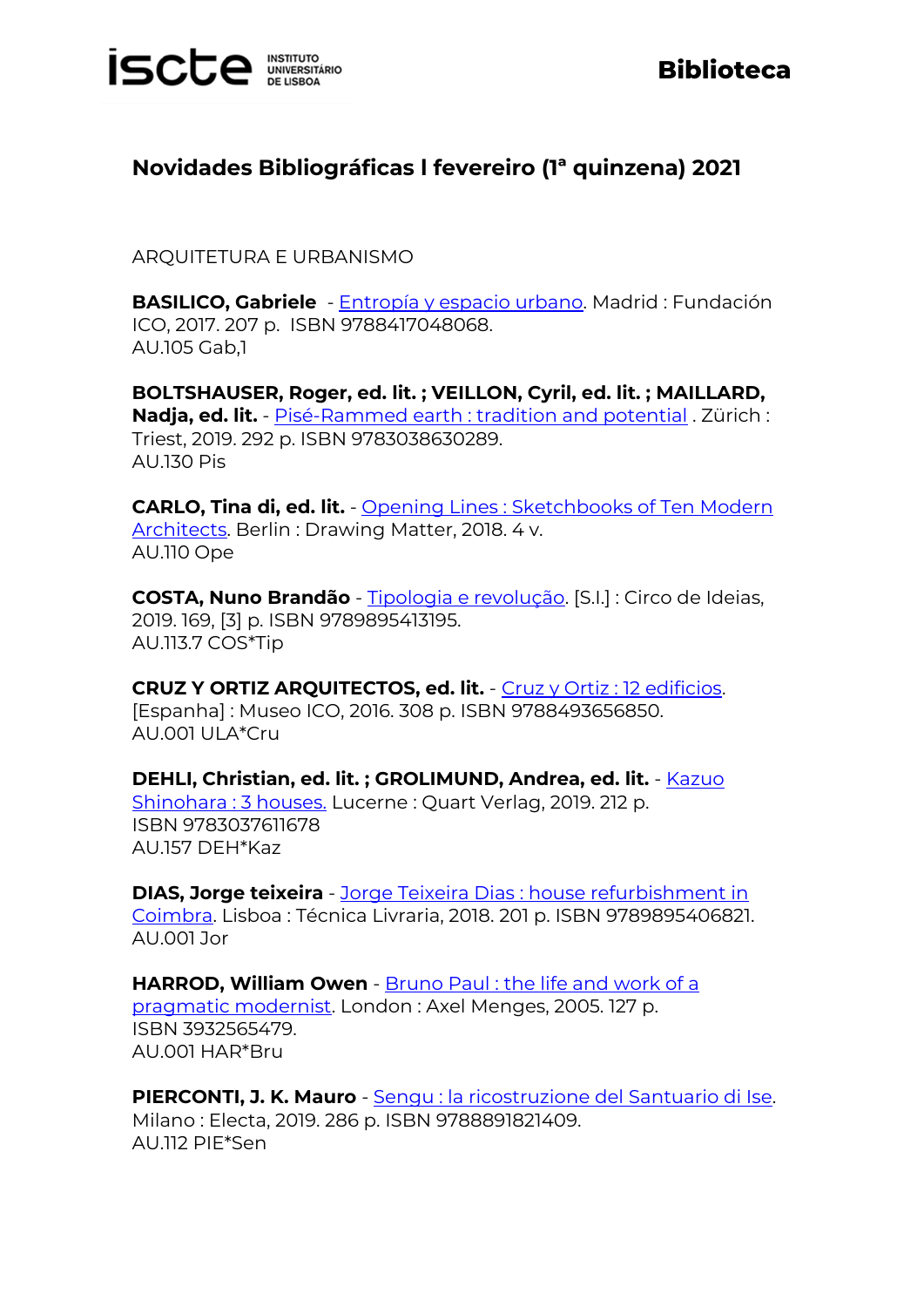

## **Novidades Bibliográficas l fevereiro (1ª quinzena) 2021**

ARQUITETURA E URBANISMO

**BASILICO, Gabriele** - [Entropía y espacio urbano.](https://catalogo.biblioteca.iscte-iul.pt/cgi-bin/koha/opac-detail.pl?biblionumber=107421) Madrid : Fundación ICO, 2017. 207 p. ISBN 9788417048068. AU.105 Gab,1

**BOLTSHAUSER, Roger, ed. lit. ; VEILLON, Cyril, ed. lit. ; MAILLARD, Nadja, ed. lit.** - [Pisé-Rammed earth : tradition and potential](https://catalogo.biblioteca.iscte-iul.pt/cgi-bin/koha/opac-detail.pl?biblionumber=108097) . Zürich : Triest, 2019. 292 p. ISBN 9783038630289. AU.130 Pis

**CARLO, Tina di, ed. lit.** - [Opening Lines : Sketchbooks of Ten Modern](https://catalogo.biblioteca.iscte-iul.pt/cgi-bin/koha/opac-detail.pl?biblionumber=104637)  [Architects.](https://catalogo.biblioteca.iscte-iul.pt/cgi-bin/koha/opac-detail.pl?biblionumber=104637) Berlin : Drawing Matter, 2018. 4 v. AU.110 Ope

**COSTA, Nuno Brandão** - [Tipologia e revolução.](https://catalogo.biblioteca.iscte-iul.pt/cgi-bin/koha/opac-detail.pl?biblionumber=107770) [S.I.] : Circo de Ideias, 2019. 169, [3] p. ISBN 9789895413195. AU.113.7 COS\*Tip

**CRUZ Y ORTIZ ARQUITECTOS, ed. lit.** - [Cruz y Ortiz : 12 edificios.](https://catalogo.biblioteca.iscte-iul.pt/cgi-bin/koha/opac-detail.pl?biblionumber=108846) [Espanha] : Museo ICO, 2016. 308 p. ISBN 9788493656850. AU.001 ULA\*Cru

**DEHLI, Christian, ed. lit. ; GROLIMUND, Andrea, ed. lit.** - [Kazuo](https://catalogo.biblioteca.iscte-iul.pt/cgi-bin/koha/opac-detail.pl?biblionumber=107424)  [Shinohara : 3 houses.](https://catalogo.biblioteca.iscte-iul.pt/cgi-bin/koha/opac-detail.pl?biblionumber=107424) Lucerne : Quart Verlag, 2019. 212 p. ISBN 9783037611678 AU.157 DEH\*Kaz

**DIAS, Jorge teixeira** - [Jorge Teixeira Dias : house refurbishment in](https://catalogo.biblioteca.iscte-iul.pt/cgi-bin/koha/opac-detail.pl?biblionumber=104536)  [Coimbra.](https://catalogo.biblioteca.iscte-iul.pt/cgi-bin/koha/opac-detail.pl?biblionumber=104536) Lisboa : Técnica Livraria, 2018. 201 p. ISBN 9789895406821. AU.001 Jor

**HARROD, William Owen** - [Bruno Paul : the life and work of a](https://catalogo.biblioteca.iscte-iul.pt/cgi-bin/koha/opac-detail.pl?biblionumber=109117)  [pragmatic modernist.](https://catalogo.biblioteca.iscte-iul.pt/cgi-bin/koha/opac-detail.pl?biblionumber=109117) London : Axel Menges, 2005. 127 p. ISBN 3932565479. AU.001 HAR\*Bru

**PIERCONTI, J. K. Mauro** - [Sengu : la ricostruzione del](https://catalogo.biblioteca.iscte-iul.pt/cgi-bin/koha/opac-detail.pl?biblionumber=108847) Santuario di Ise. Milano : Electa, 2019. 286 p. ISBN 9788891821409. AU.112 PIE\*Sen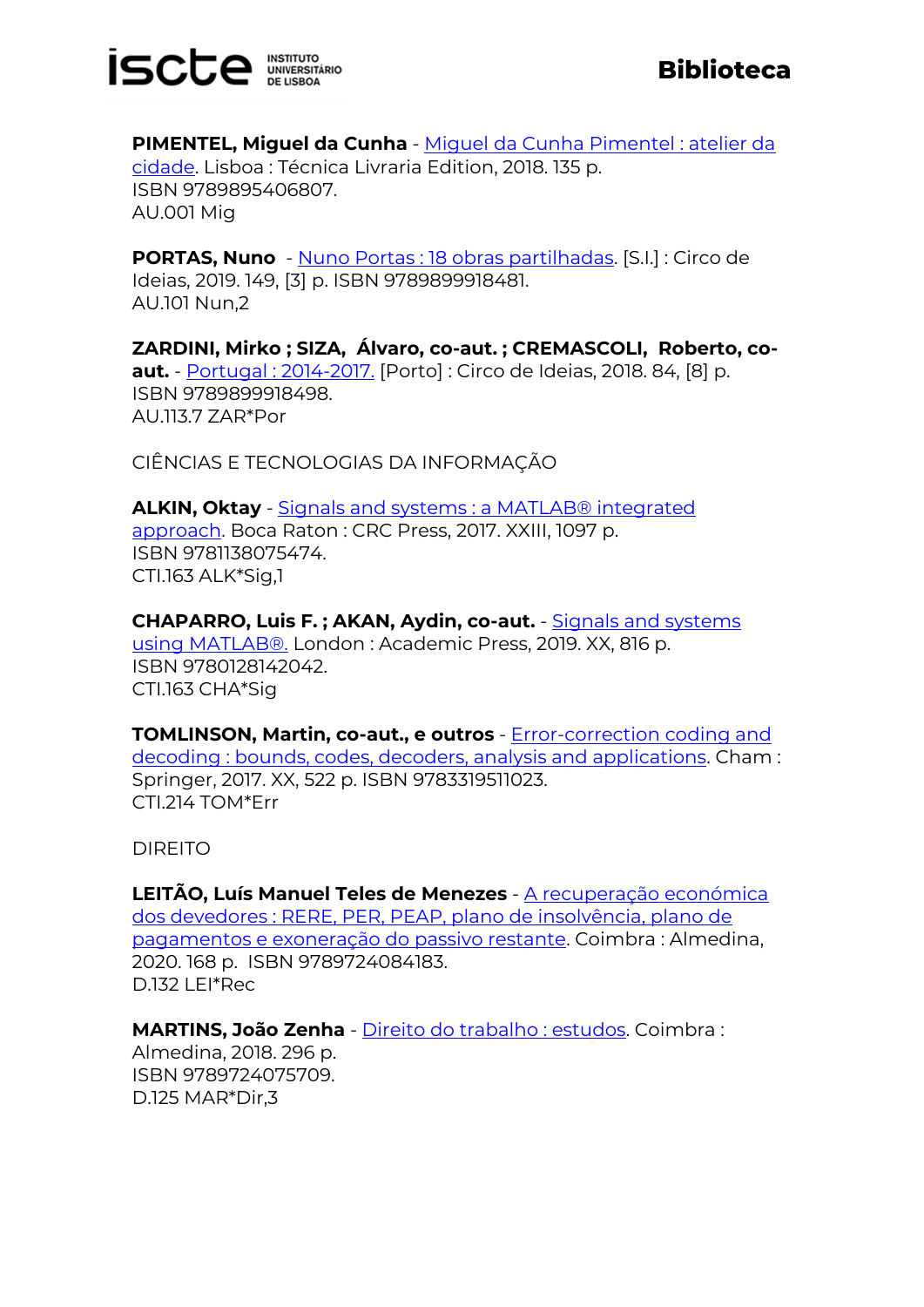

**PIMENTEL, Miguel da Cunha** - [Miguel da Cunha Pimentel : atelier da](https://catalogo.biblioteca.iscte-iul.pt/cgi-bin/koha/opac-detail.pl?biblionumber=104535) [cidade.](https://catalogo.biblioteca.iscte-iul.pt/cgi-bin/koha/opac-detail.pl?biblionumber=104535) Lisboa : Técnica Livraria Edition, 2018. 135 p. ISBN 9789895406807. AU.001 Mig

**PORTAS, Nuno** - [Nuno Portas : 18 obras partilhadas.](https://catalogo.biblioteca.iscte-iul.pt/cgi-bin/koha/opac-detail.pl?biblionumber=107767) [S.I.] : Circo de Ideias, 2019. 149, [3] p. ISBN 9789899918481. AU.101 Nun,2

**ZARDINI, Mirko ; SIZA, Álvaro, co-aut. ; CREMASCOLI, Roberto, coaut.** - [Portugal : 2014-2017.](https://catalogo.biblioteca.iscte-iul.pt/cgi-bin/koha/opac-detail.pl?biblionumber=107768) [Porto] : Circo de Ideias, 2018. 84, [8] p. ISBN 9789899918498. AU.113.7 ZAR\*Por

CIÊNCIAS E TECNOLOGIAS DA INFORMAÇÃO

**ALKIN, Oktay** - [Signals and systems : a MATLAB® integrated](https://catalogo.biblioteca.iscte-iul.pt/cgi-bin/koha/opac-detail.pl?biblionumber=108580)  [approach.](https://catalogo.biblioteca.iscte-iul.pt/cgi-bin/koha/opac-detail.pl?biblionumber=108580) Boca Raton : CRC Press, 2017. XXIII, 1097 p. ISBN 9781138075474. CTI.163 ALK\*Sig,1

**CHAPARRO, Luis F. ; AKAN, Aydin, co-aut.** - [Signals and systems](https://catalogo.biblioteca.iscte-iul.pt/cgi-bin/koha/opac-detail.pl?biblionumber=108840)  [using MATLAB®.](https://catalogo.biblioteca.iscte-iul.pt/cgi-bin/koha/opac-detail.pl?biblionumber=108840) London : Academic Press, 2019. XX, 816 p. ISBN 9780128142042. CTI.163 CHA\*Sig

**TOMLINSON, Martin, co-aut., e outros** - [Error-correction coding and](https://catalogo.biblioteca.iscte-iul.pt/cgi-bin/koha/opac-detail.pl?biblionumber=108092)  [decoding : bounds, codes, decoders, analysis and applications.](https://catalogo.biblioteca.iscte-iul.pt/cgi-bin/koha/opac-detail.pl?biblionumber=108092) Cham : Springer, 2017. XX, 522 p. ISBN 9783319511023. CTI.214 TOM\*Err

DIREITO

**LEITÃO, Luís Manuel Teles de Menezes** - [A recuperação económica](https://catalogo.biblioteca.iscte-iul.pt/cgi-bin/koha/opac-detail.pl?biblionumber=107784)  [dos devedores : RERE, PER, PEAP, plano de insolvência, plano de](https://catalogo.biblioteca.iscte-iul.pt/cgi-bin/koha/opac-detail.pl?biblionumber=107784)  [pagamentos e exoneração do passivo restante.](https://catalogo.biblioteca.iscte-iul.pt/cgi-bin/koha/opac-detail.pl?biblionumber=107784) Coimbra : Almedina, 2020. 168 p. ISBN 9789724084183. D.132 LEI\*Rec

**MARTINS, João Zenha** - [Direito do trabalho : estudos.](https://catalogo.biblioteca.iscte-iul.pt/cgi-bin/koha/opac-detail.pl?biblionumber=107788) Coimbra : Almedina, 2018. 296 p. ISBN 9789724075709. D.125 MAR\*Dir,3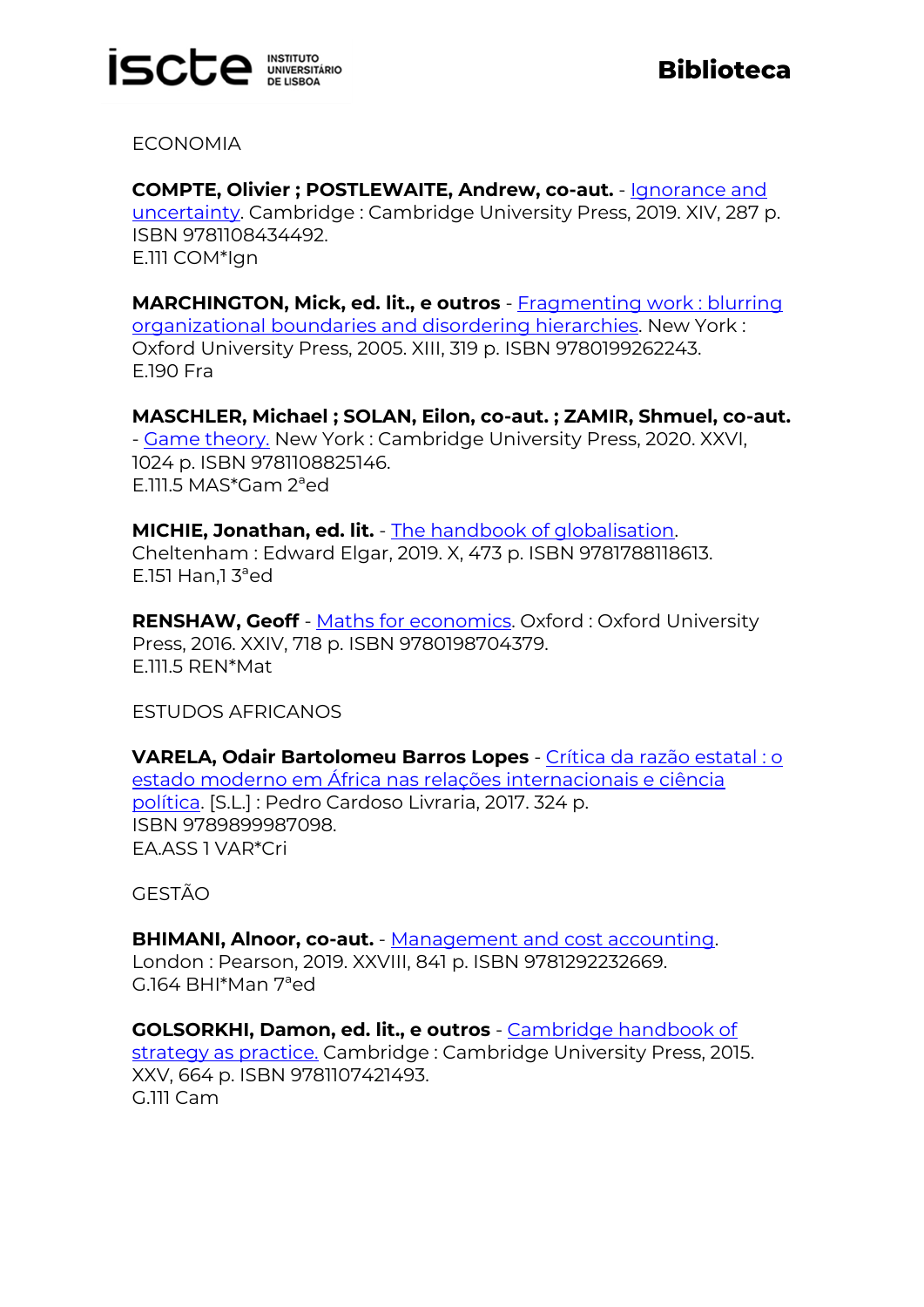

ECONOMIA

**COMPTE, Olivier ; POSTLEWAITE, Andrew, co-aut.** - [Ignorance and](https://catalogo.biblioteca.iscte-iul.pt/cgi-bin/koha/opac-detail.pl?biblionumber=108780)  [uncertainty.](https://catalogo.biblioteca.iscte-iul.pt/cgi-bin/koha/opac-detail.pl?biblionumber=108780) Cambridge : Cambridge University Press, 2019. XIV, 287 p. ISBN 9781108434492. E.111 COM\*Ign

**MARCHINGTON, Mick, ed. lit., e outros** - [Fragmenting work : blurring](https://catalogo.biblioteca.iscte-iul.pt/cgi-bin/koha/opac-detail.pl?biblionumber=108650)  [organizational boundaries and disordering hierarchies.](https://catalogo.biblioteca.iscte-iul.pt/cgi-bin/koha/opac-detail.pl?biblionumber=108650) New York : Oxford University Press, 2005. XIII, 319 p. ISBN 9780199262243. E.190 Fra

**MASCHLER, Michael ; SOLAN, Eilon, co-aut. ; ZAMIR, Shmuel, co-aut.** - [Game theory.](https://catalogo.biblioteca.iscte-iul.pt/cgi-bin/koha/opac-detail.pl?biblionumber=108678) New York : Cambridge University Press, 2020. XXVI, 1024 p. ISBN 9781108825146. E.111.5 MAS\*Gam 2ªed

**MICHIE, Jonathan, ed. lit.** - [The handbook of globalisation.](https://catalogo.biblioteca.iscte-iul.pt/cgi-bin/koha/opac-detail.pl?biblionumber=108489) Cheltenham : Edward Elgar, 2019. X, 473 p. ISBN 9781788118613. E.151 Han.1 $3^{\circ}$ ed

**RENSHAW, Geoff** - [Maths for economics.](https://catalogo.biblioteca.iscte-iul.pt/cgi-bin/koha/opac-detail.pl?biblionumber=107856) Oxford : Oxford University Press, 2016. XXIV, 718 p. ISBN 9780198704379. E.111.5 REN\*Mat

ESTUDOS AFRICANOS

**VARELA, Odair Bartolomeu Barros Lopes** - [Crítica da razão estatal : o](https://catalogo.biblioteca.iscte-iul.pt/cgi-bin/koha/opac-detail.pl?biblionumber=107783)  [estado moderno em África nas relações internacionais e ciência](https://catalogo.biblioteca.iscte-iul.pt/cgi-bin/koha/opac-detail.pl?biblionumber=107783)  [política.](https://catalogo.biblioteca.iscte-iul.pt/cgi-bin/koha/opac-detail.pl?biblionumber=107783) [S.L.] : Pedro Cardoso Livraria, 2017. 324 p. ISBN 9789899987098. EA.ASS 1 VAR\*Cri

GESTÃO

**BHIMANI, Alnoor, co-aut.** - [Management and cost accounting.](https://catalogo.biblioteca.iscte-iul.pt/cgi-bin/koha/opac-detail.pl?biblionumber=108028) London : Pearson, 2019. XXVIII, 841 p. ISBN 9781292232669. G.164 BHI\*Man 7ªed

**GOLSORKHI, Damon, ed. lit., e outros** - [Cambridge handbook of](https://catalogo.biblioteca.iscte-iul.pt/cgi-bin/koha/opac-detail.pl?biblionumber=108783)  [strategy as practice.](https://catalogo.biblioteca.iscte-iul.pt/cgi-bin/koha/opac-detail.pl?biblionumber=108783) Cambridge : Cambridge University Press, 2015. XXV, 664 p. ISBN 9781107421493. G.111 Cam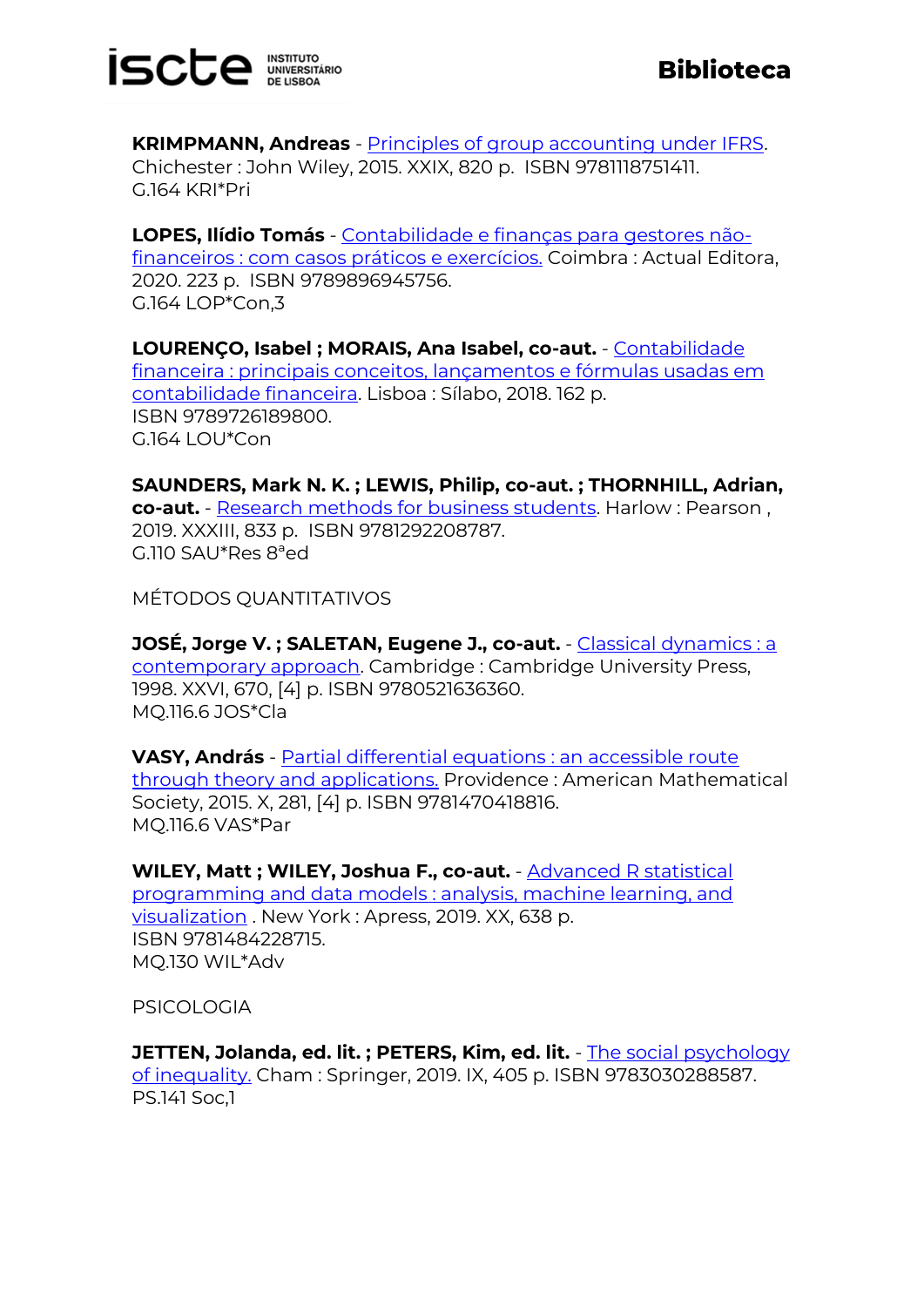

**KRIMPMANN, Andreas** - [Principles of group accounting under IFRS.](https://catalogo.biblioteca.iscte-iul.pt/cgi-bin/koha/opac-detail.pl?biblionumber=107820)  Chichester : John Wiley, 2015. XXIX, 820 p. ISBN 9781118751411. G.164 KRI\*Pri

**LOPES, Ilídio Tomás** - [Contabilidade e finanças para gestores não](https://catalogo.biblioteca.iscte-iul.pt/cgi-bin/koha/opac-detail.pl?biblionumber=107911)[financeiros : com casos práticos e exercícios.](https://catalogo.biblioteca.iscte-iul.pt/cgi-bin/koha/opac-detail.pl?biblionumber=107911) Coimbra : Actual Editora, 2020. 223 p. ISBN 9789896945756. G.164 LOP\*Con,3

**LOURENÇO, Isabel ; MORAIS, Ana Isabel, co-aut.** - [Contabilidade](https://catalogo.biblioteca.iscte-iul.pt/cgi-bin/koha/opac-detail.pl?biblionumber=108497)  [financeira : principais conceitos, lançamentos e fórmulas usadas em](https://catalogo.biblioteca.iscte-iul.pt/cgi-bin/koha/opac-detail.pl?biblionumber=108497)  [contabilidade financeira.](https://catalogo.biblioteca.iscte-iul.pt/cgi-bin/koha/opac-detail.pl?biblionumber=108497) Lisboa : Sílabo, 2018. 162 p. ISBN 9789726189800.  $G.164$  LOU $^*$ Con

**SAUNDERS, Mark N. K. ; LEWIS, Philip, co-aut. ; THORNHILL, Adrian, co-aut.** - [Research methods for business students.](https://catalogo.biblioteca.iscte-iul.pt/cgi-bin/koha/opac-detail.pl?biblionumber=108444) Harlow : Pearson , 2019. XXXIII, 833 p. ISBN 9781292208787. G.110 SAU\*Res 8ªed

MÉTODOS QUANTITATIVOS

**JOSÉ, Jorge V. ; SALETAN, Eugene J., co-aut.** - [Classical dynamics : a](https://catalogo.biblioteca.iscte-iul.pt/cgi-bin/koha/opac-detail.pl?biblionumber=108781)  [contemporary approach.](https://catalogo.biblioteca.iscte-iul.pt/cgi-bin/koha/opac-detail.pl?biblionumber=108781) Cambridge : Cambridge University Press, 1998. XXVI, 670, [4] p. ISBN 9780521636360. MQ.116.6 JOS\*Cla

**VASY, András** - [Partial differential equations : an accessible route](https://catalogo.biblioteca.iscte-iul.pt/cgi-bin/koha/opac-detail.pl?biblionumber=108554)  [through theory and applications.](https://catalogo.biblioteca.iscte-iul.pt/cgi-bin/koha/opac-detail.pl?biblionumber=108554) Providence : American Mathematical Society, 2015. X, 281, [4] p. ISBN 9781470418816. MQ.116.6 VAS\*Par

**WILEY, Matt ; WILEY, Joshua F., co-aut.** - [Advanced R statistical](https://catalogo.biblioteca.iscte-iul.pt/cgi-bin/koha/opac-detail.pl?biblionumber=108456)  [programming and data models : analysis, machine learning, and](https://catalogo.biblioteca.iscte-iul.pt/cgi-bin/koha/opac-detail.pl?biblionumber=108456)  [visualization](https://catalogo.biblioteca.iscte-iul.pt/cgi-bin/koha/opac-detail.pl?biblionumber=108456) . New York : Apress, 2019. XX, 638 p. ISBN 9781484228715. MQ.130 WIL\*Adv

PSICOLOGIA

**JETTEN, Jolanda, ed. lit. ; PETERS, Kim, ed. lit.** - The social psychology [of inequality.](https://catalogo.biblioteca.iscte-iul.pt/cgi-bin/koha/opac-detail.pl?biblionumber=109200) Cham : Springer, 2019. IX, 405 p. ISBN 9783030288587. PS.141 Soc,1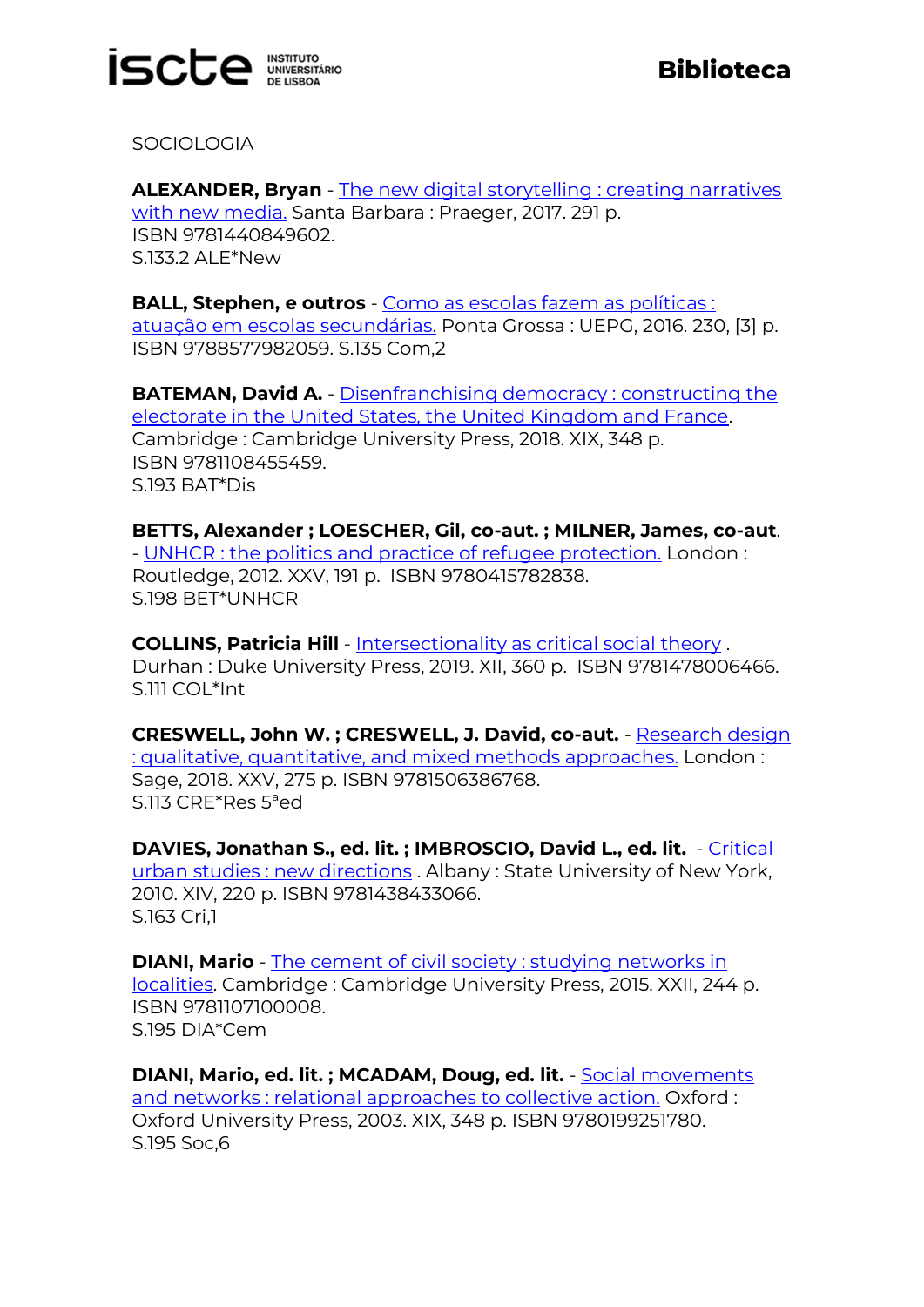

**SOCIOLOGIA** 

**ALEXANDER, Bryan** - [The new digital storytelling : creating narratives](https://catalogo.biblioteca.iscte-iul.pt/cgi-bin/koha/opac-detail.pl?biblionumber=108898)  [with new media.](https://catalogo.biblioteca.iscte-iul.pt/cgi-bin/koha/opac-detail.pl?biblionumber=108898) Santa Barbara : Praeger, 2017. 291 p. ISBN 9781440849602. S.133.2 ALE\*New

**BALL, Stephen, e outros** - [Como as escolas fazem as políticas :](https://catalogo.biblioteca.iscte-iul.pt/cgi-bin/koha/opac-detail.pl?biblionumber=108842) [atuação em escolas secundárias.](https://catalogo.biblioteca.iscte-iul.pt/cgi-bin/koha/opac-detail.pl?biblionumber=108842) Ponta Grossa : UEPG, 2016. 230, [3] p. ISBN 9788577982059. S.135 Com,2

**BATEMAN, David A.** - Disenfranchising democracy: constructing the [electorate in the United States, the United Kingdom and France.](https://catalogo.biblioteca.iscte-iul.pt/cgi-bin/koha/opac-detail.pl?biblionumber=108677) Cambridge : Cambridge University Press, 2018. XIX, 348 p. ISBN 9781108455459. S.193 BAT\*Dis

**BETTS, Alexander ; LOESCHER, Gil, co-aut. ; MILNER, James, co-aut**. - [UNHCR : the politics and practice of refugee protection.](https://catalogo.biblioteca.iscte-iul.pt/cgi-bin/koha/opac-detail.pl?biblionumber=108520) London : Routledge, 2012. XXV, 191 p. ISBN 9780415782838. S.198 BET\*UNHCR

**COLLINS, Patricia Hill** - [Intersectionality as critical social theory](https://catalogo.biblioteca.iscte-iul.pt/cgi-bin/koha/opac-detail.pl?biblionumber=108485) . Durhan : Duke University Press, 2019. XII, 360 p. ISBN 9781478006466. S.111 COL\*Int

**CRESWELL, John W. ; CRESWELL, J. David, co-aut.** - [Research design](https://catalogo.biblioteca.iscte-iul.pt/cgi-bin/koha/opac-detail.pl?biblionumber=108455)  [: qualitative, quantitative, and mixed methods approaches.](https://catalogo.biblioteca.iscte-iul.pt/cgi-bin/koha/opac-detail.pl?biblionumber=108455) London : Sage, 2018. XXV, 275 p. ISBN 9781506386768. S.113 CRE\*Res 5ªed

**DAVIES, Jonathan S., ed. lit. ; IMBROSCIO, David L., ed. lit.** - [Critical](https://catalogo.biblioteca.iscte-iul.pt/cgi-bin/koha/opac-detail.pl?biblionumber=108986)  [urban studies : new directions](https://catalogo.biblioteca.iscte-iul.pt/cgi-bin/koha/opac-detail.pl?biblionumber=108986) . Albany : State University of New York, 2010. XIV, 220 p. ISBN 9781438433066. S.163 Cri,1

**DIANI, Mario** - [The cement of civil society : studying networks in](https://catalogo.biblioteca.iscte-iul.pt/cgi-bin/koha/opac-detail.pl?biblionumber=108570)  [localities.](https://catalogo.biblioteca.iscte-iul.pt/cgi-bin/koha/opac-detail.pl?biblionumber=108570) Cambridge : Cambridge University Press, 2015. XXII, 244 p. ISBN 9781107100008. S.195 DIA\*Cem

**DIANI, Mario, ed. lit. ; MCADAM, Doug, ed. lit.** - [Social movements](https://catalogo.biblioteca.iscte-iul.pt/cgi-bin/koha/opac-detail.pl?biblionumber=108572)  [and networks : relational approaches to collective action.](https://catalogo.biblioteca.iscte-iul.pt/cgi-bin/koha/opac-detail.pl?biblionumber=108572) Oxford : Oxford University Press, 2003. XIX, 348 p. ISBN 9780199251780. S.195 Soc,6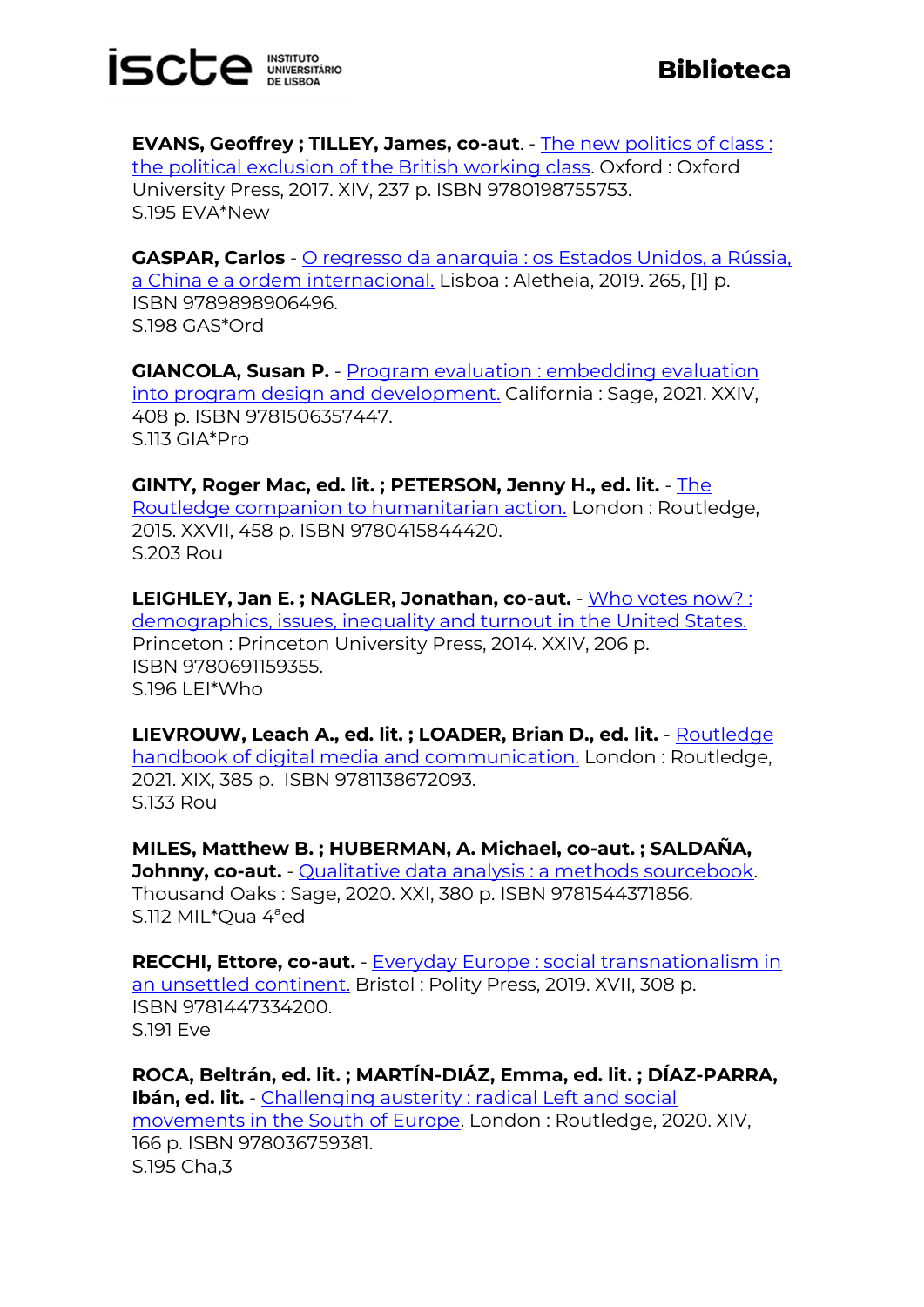

**EVANS, Geoffrey ; TILLEY, James, co-aut**. - [The new politics of class :](https://catalogo.biblioteca.iscte-iul.pt/cgi-bin/koha/opac-detail.pl?biblionumber=108651)  [the political exclusion of the British working class.](https://catalogo.biblioteca.iscte-iul.pt/cgi-bin/koha/opac-detail.pl?biblionumber=108651) Oxford : Oxford University Press, 2017. XIV, 237 p. ISBN 9780198755753. S.195 EVA\*New

**GASPAR, Carlos** - O regresso da anarquia : os Estados Unidos, a Rússia, [a China e a ordem internacional.](https://catalogo.biblioteca.iscte-iul.pt/cgi-bin/koha/opac-detail.pl?biblionumber=107771) Lisboa : Aletheia, 2019. 265, [1] p. ISBN 9789898906496. S.198 GAS\*Ord

**GIANCOLA, Susan P.** - [Program evaluation : embedding evaluation](https://catalogo.biblioteca.iscte-iul.pt/cgi-bin/koha/opac-detail.pl?biblionumber=108430)  [into program design and development.](https://catalogo.biblioteca.iscte-iul.pt/cgi-bin/koha/opac-detail.pl?biblionumber=108430) California : Sage, 2021. XXIV, 408 p. ISBN 9781506357447. S.113 GIA\*Pro

**GINTY, Roger Mac, ed. lit. ; PETERSON, Jenny H., ed. lit.** - [The](https://catalogo.biblioteca.iscte-iul.pt/cgi-bin/koha/opac-detail.pl?biblionumber=108507)  [Routledge companion to humanitarian action.](https://catalogo.biblioteca.iscte-iul.pt/cgi-bin/koha/opac-detail.pl?biblionumber=108507) London : Routledge, 2015. XXVII, 458 p. ISBN 9780415844420. S.203 Rou

**LEIGHLEY, Jan E. ; NAGLER, Jonathan, co-aut.** - [Who votes now? :](https://catalogo.biblioteca.iscte-iul.pt/cgi-bin/koha/opac-detail.pl?biblionumber=108589)  [demographics, issues, inequality and turnout in the United States.](https://catalogo.biblioteca.iscte-iul.pt/cgi-bin/koha/opac-detail.pl?biblionumber=108589) Princeton : Princeton University Press, 2014. XXIV, 206 p. ISBN 9780691159355. S.196 LEI\*Who

**LIEVROUW, Leach A., ed. lit. ; LOADER, Brian D., ed. lit.** - [Routledge](https://catalogo.biblioteca.iscte-iul.pt/cgi-bin/koha/opac-detail.pl?biblionumber=108683)  [handbook of digital media and communication.](https://catalogo.biblioteca.iscte-iul.pt/cgi-bin/koha/opac-detail.pl?biblionumber=108683) London : Routledge, 2021. XIX, 385 p. ISBN 9781138672093. S.133 Rou

**MILES, Matthew B. ; HUBERMAN, A. Michael, co-aut. ; SALDAÑA, Johnny, co-aut.** - [Qualitative data analysis : a methods sourcebook.](https://catalogo.biblioteca.iscte-iul.pt/cgi-bin/koha/opac-detail.pl?biblionumber=108438) Thousand Oaks : Sage, 2020. XXI, 380 p. ISBN 9781544371856. S.112 MIL\*Qua 4ªed

**RECCHI, Ettore, co-aut.** - [Everyday Europe : social transnationalism in](https://catalogo.biblioteca.iscte-iul.pt/cgi-bin/koha/opac-detail.pl?biblionumber=108897)  [an unsettled continent.](https://catalogo.biblioteca.iscte-iul.pt/cgi-bin/koha/opac-detail.pl?biblionumber=108897) Bristol : Polity Press, 2019. XVII, 308 p. ISBN 9781447334200. S.191 Eve

**ROCA, Beltrán, ed. lit. ; MARTÍN-DIÁZ, Emma, ed. lit. ; DÍAZ-PARRA, Ibán, ed. lit.** - [Challenging austerity : radical Left and social](https://catalogo.biblioteca.iscte-iul.pt/cgi-bin/koha/opac-detail.pl?biblionumber=108484)  [movements in the South of Europe.](https://catalogo.biblioteca.iscte-iul.pt/cgi-bin/koha/opac-detail.pl?biblionumber=108484) London : Routledge, 2020. XIV, 166 p. ISBN 978036759381. S.195 Cha,3